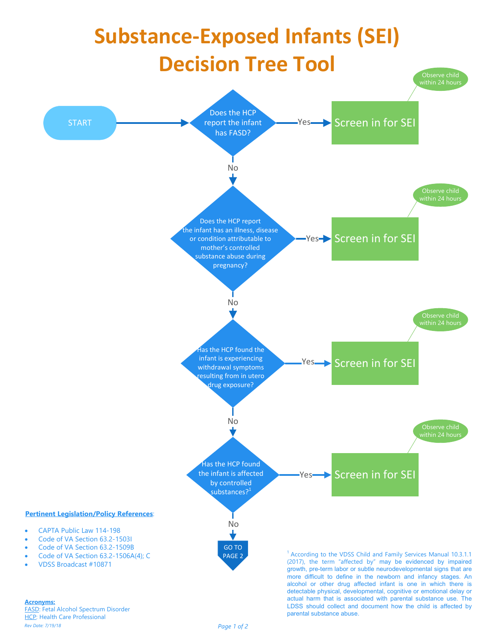

FASD: Fetal Alcohol Spectrum Disorder **HCP: Health Care Professional** Rev Date: 7/19/18  $\overline{P}$  Page 1 of 2

parental substance abuse.